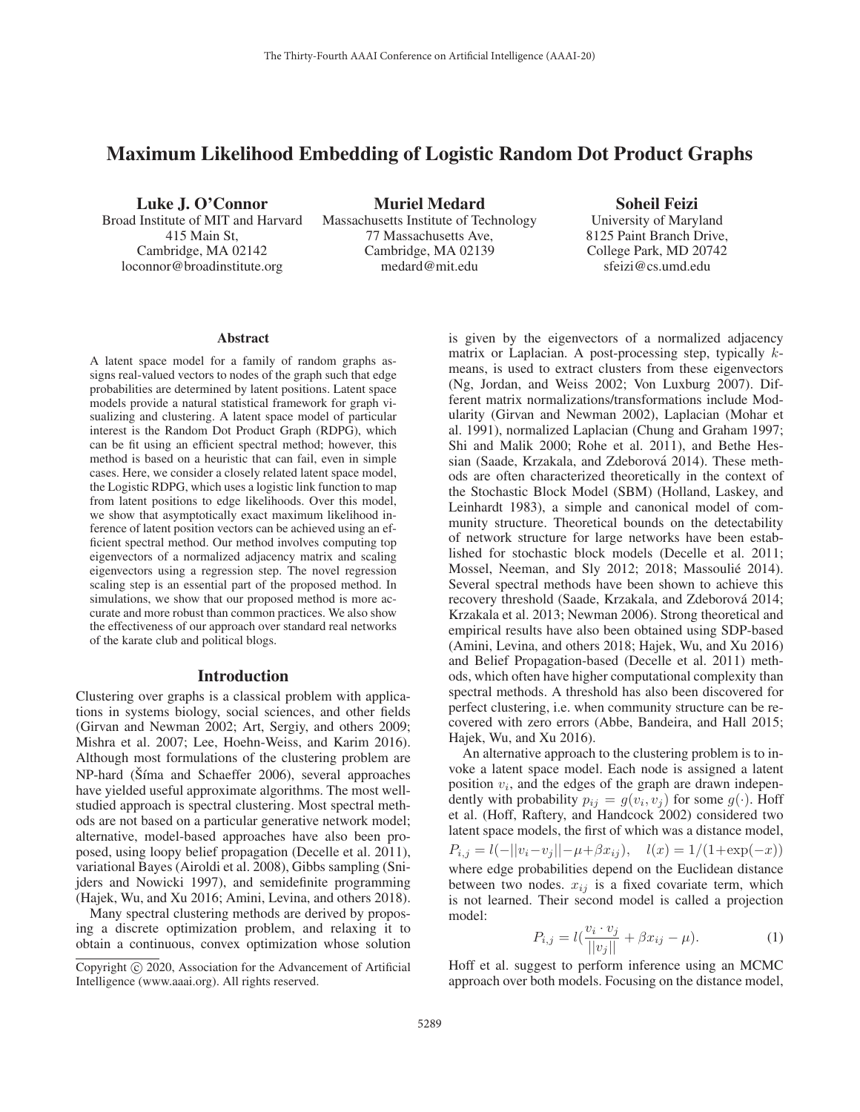# Maximum Likelihood Embedding of Logistic Random Dot Product Graphs

Luke J. O'Connor Broad Institute of MIT and Harvard 415 Main St, Cambridge, MA 02142 loconnor@broadinstitute.org

Muriel Medard Massachusetts Institute of Technology 77 Massachusetts Ave, Cambridge, MA 02139 medard@mit.edu

Soheil Feizi

University of Maryland 8125 Paint Branch Drive, College Park, MD 20742 sfeizi@cs.umd.edu

#### Abstract

A latent space model for a family of random graphs assigns real-valued vectors to nodes of the graph such that edge probabilities are determined by latent positions. Latent space models provide a natural statistical framework for graph visualizing and clustering. A latent space model of particular interest is the Random Dot Product Graph (RDPG), which can be fit using an efficient spectral method; however, this method is based on a heuristic that can fail, even in simple cases. Here, we consider a closely related latent space model, the Logistic RDPG, which uses a logistic link function to map from latent positions to edge likelihoods. Over this model, we show that asymptotically exact maximum likelihood inference of latent position vectors can be achieved using an efficient spectral method. Our method involves computing top eigenvectors of a normalized adjacency matrix and scaling eigenvectors using a regression step. The novel regression scaling step is an essential part of the proposed method. In simulations, we show that our proposed method is more accurate and more robust than common practices. We also show the effectiveness of our approach over standard real networks of the karate club and political blogs.

#### Introduction

Clustering over graphs is a classical problem with applications in systems biology, social sciences, and other fields (Girvan and Newman 2002; Art, Sergiy, and others 2009; Mishra et al. 2007; Lee, Hoehn-Weiss, and Karim 2016). Although most formulations of the clustering problem are NP-hard (Šíma and Schaeffer 2006), several approaches have yielded useful approximate algorithms. The most wellstudied approach is spectral clustering. Most spectral methods are not based on a particular generative network model; alternative, model-based approaches have also been proposed, using loopy belief propagation (Decelle et al. 2011), variational Bayes (Airoldi et al. 2008), Gibbs sampling (Snijders and Nowicki 1997), and semidefinite programming (Hajek, Wu, and Xu 2016; Amini, Levina, and others 2018).

Many spectral clustering methods are derived by proposing a discrete optimization problem, and relaxing it to obtain a continuous, convex optimization whose solution

is given by the eigenvectors of a normalized adjacency matrix or Laplacian. A post-processing step, typically kmeans, is used to extract clusters from these eigenvectors (Ng, Jordan, and Weiss 2002; Von Luxburg 2007). Different matrix normalizations/transformations include Modularity (Girvan and Newman 2002), Laplacian (Mohar et al. 1991), normalized Laplacian (Chung and Graham 1997; Shi and Malik 2000; Rohe et al. 2011), and Bethe Hessian (Saade, Krzakala, and Zdeborová 2014). These methods are often characterized theoretically in the context of the Stochastic Block Model (SBM) (Holland, Laskey, and Leinhardt 1983), a simple and canonical model of community structure. Theoretical bounds on the detectability of network structure for large networks have been established for stochastic block models (Decelle et al. 2011; Mossel, Neeman, and Sly 2012; 2018; Massoulié 2014). Several spectral methods have been shown to achieve this recovery threshold (Saade, Krzakala, and Zdeborová 2014; Krzakala et al. 2013; Newman 2006). Strong theoretical and empirical results have also been obtained using SDP-based (Amini, Levina, and others 2018; Hajek, Wu, and Xu 2016) and Belief Propagation-based (Decelle et al. 2011) methods, which often have higher computational complexity than spectral methods. A threshold has also been discovered for perfect clustering, i.e. when community structure can be recovered with zero errors (Abbe, Bandeira, and Hall 2015; Hajek, Wu, and Xu 2016).

An alternative approach to the clustering problem is to invoke a latent space model. Each node is assigned a latent position  $v_i$ , and the edges of the graph are drawn independently with probability  $p_{ij} = g(v_i, v_j)$  for some  $g(\cdot)$ . Hoff et al. (Hoff, Raftery, and Handcock 2002) considered two latent space models, the first of which was a distance model,  $P_{i,j} = l(-||v_i-v_j||-\mu+\beta x_{ij}), \quad l(x)=1/(1+\exp(-x))$ where edge probabilities depend on the Euclidean distance between two nodes.  $x_{ij}$  is a fixed covariate term, which is not learned. Their second model is called a projection model:

$$
P_{i,j} = l(\frac{v_i \cdot v_j}{||v_j||} + \beta x_{ij} - \mu).
$$
 (1)

Hoff et al. suggest to perform inference using an MCMC approach over both models. Focusing on the distance model,

Copyright  $\odot$  2020, Association for the Advancement of Artificial Intelligence (www.aaai.org). All rights reserved.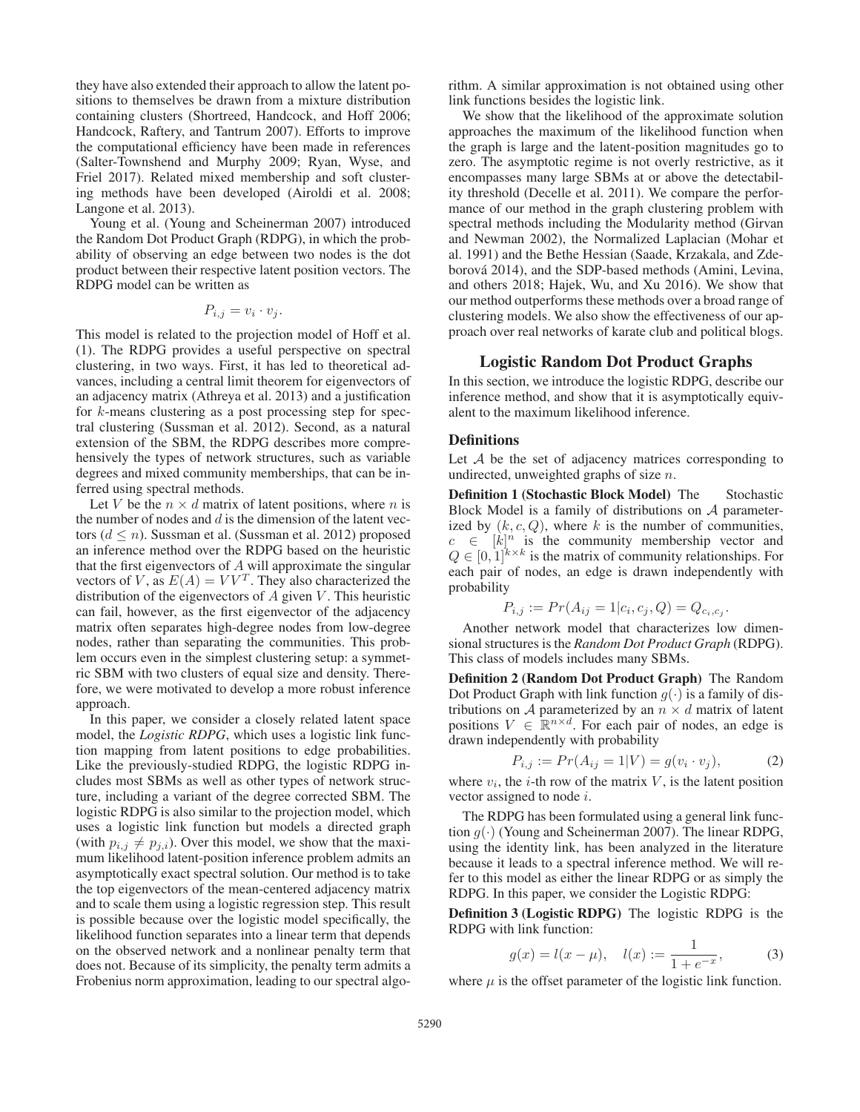they have also extended their approach to allow the latent positions to themselves be drawn from a mixture distribution containing clusters (Shortreed, Handcock, and Hoff 2006; Handcock, Raftery, and Tantrum 2007). Efforts to improve the computational efficiency have been made in references (Salter-Townshend and Murphy 2009; Ryan, Wyse, and Friel 2017). Related mixed membership and soft clustering methods have been developed (Airoldi et al. 2008; Langone et al. 2013).

Young et al. (Young and Scheinerman 2007) introduced the Random Dot Product Graph (RDPG), in which the probability of observing an edge between two nodes is the dot product between their respective latent position vectors. The RDPG model can be written as

$$
P_{i,j} = v_i \cdot v_j.
$$

This model is related to the projection model of Hoff et al. (1). The RDPG provides a useful perspective on spectral clustering, in two ways. First, it has led to theoretical advances, including a central limit theorem for eigenvectors of an adjacency matrix (Athreya et al. 2013) and a justification for k-means clustering as a post processing step for spectral clustering (Sussman et al. 2012). Second, as a natural extension of the SBM, the RDPG describes more comprehensively the types of network structures, such as variable degrees and mixed community memberships, that can be inferred using spectral methods.

Let V be the  $n \times d$  matrix of latent positions, where n is the number of nodes and  $d$  is the dimension of the latent vectors ( $d \leq n$ ). Sussman et al. (Sussman et al. 2012) proposed an inference method over the RDPG based on the heuristic that the first eigenvectors of  $A$  will approximate the singular vectors of V, as  $E(A) = VV<sup>T</sup>$ . They also characterized the distribution of the eigenvectors of  $A$  given  $V$ . This heuristic can fail, however, as the first eigenvector of the adjacency matrix often separates high-degree nodes from low-degree nodes, rather than separating the communities. This problem occurs even in the simplest clustering setup: a symmetric SBM with two clusters of equal size and density. Therefore, we were motivated to develop a more robust inference approach.

In this paper, we consider a closely related latent space model, the *Logistic RDPG*, which uses a logistic link function mapping from latent positions to edge probabilities. Like the previously-studied RDPG, the logistic RDPG includes most SBMs as well as other types of network structure, including a variant of the degree corrected SBM. The logistic RDPG is also similar to the projection model, which uses a logistic link function but models a directed graph (with  $p_{i,j} \neq p_{j,i}$ ). Over this model, we show that the maximum likelihood latent-position inference problem admits an asymptotically exact spectral solution. Our method is to take the top eigenvectors of the mean-centered adjacency matrix and to scale them using a logistic regression step. This result is possible because over the logistic model specifically, the likelihood function separates into a linear term that depends on the observed network and a nonlinear penalty term that does not. Because of its simplicity, the penalty term admits a Frobenius norm approximation, leading to our spectral algorithm. A similar approximation is not obtained using other link functions besides the logistic link.

We show that the likelihood of the approximate solution approaches the maximum of the likelihood function when the graph is large and the latent-position magnitudes go to zero. The asymptotic regime is not overly restrictive, as it encompasses many large SBMs at or above the detectability threshold (Decelle et al. 2011). We compare the performance of our method in the graph clustering problem with spectral methods including the Modularity method (Girvan and Newman 2002), the Normalized Laplacian (Mohar et al. 1991) and the Bethe Hessian (Saade, Krzakala, and Zdeborová 2014), and the SDP-based methods (Amini, Levina, and others 2018; Hajek, Wu, and Xu 2016). We show that our method outperforms these methods over a broad range of clustering models. We also show the effectiveness of our approach over real networks of karate club and political blogs.

## Logistic Random Dot Product Graphs

In this section, we introduce the logistic RDPG, describe our inference method, and show that it is asymptotically equivalent to the maximum likelihood inference.

#### **Definitions**

Let  $A$  be the set of adjacency matrices corresponding to undirected, unweighted graphs of size  $n$ .

Definition 1 (Stochastic Block Model) The Stochastic Block Model is a family of distributions on  $A$  parameterized by  $(k, c, Q)$ , where k is the number of communities,  $c \in [k]^n$  is the community membership vector and  $0 \in [0, 1]^{k \times k}$  is the matrix of community relationships. For  $Q \in [0, 1]^{k \times k}$  is the matrix of community relationships. For each pair of nodes, an edge is drawn independently with probability

$$
P_{i,j} := Pr(A_{ij} = 1 | c_i, c_j, Q) = Q_{c_i, c_j}.
$$

 $P_{i,j} := Pr(A_{ij} = 1 | c_i, c_j, Q) = Q_{c_i, c_j}.$ <br>Another network model that characterizes low dimensional structures is the *Random Dot Product Graph* (RDPG). This class of models includes many SBMs.

Definition 2 (Random Dot Product Graph) The Random Dot Product Graph with link function  $g(\cdot)$  is a family of distributions on A parameterized by an  $n \times d$  matrix of latent positions  $V \in \mathbb{R}^{n \times d}$ . For each pair of nodes, an edge is drawn independently with probability

$$
P_{i,j} := Pr(A_{ij} = 1|V) = g(v_i \cdot v_j), \tag{2}
$$

 $P_{i,j} := Pr(A_{ij} = 1 | V) = g(v_i \cdot v_j),$  (2)<br>where  $v_i$ , the *i*-th row of the matrix *V*, is the latent position vector assigned to node i.

The RDPG has been formulated using a general link function  $g(\cdot)$  (Young and Scheinerman 2007). The linear RDPG, using the identity link, has been analyzed in the literature because it leads to a spectral inference method. We will refer to this model as either the linear RDPG or as simply the RDPG. In this paper, we consider the Logistic RDPG:

Definition 3 (Logistic RDPG) The logistic RDPG is the RDPG with link function:

$$
g(x) = l(x - \mu), \quad l(x) := \frac{1}{1 + e^{-x}},
$$
 (3)  
where  $\mu$  is the offset parameter of the logistic link function.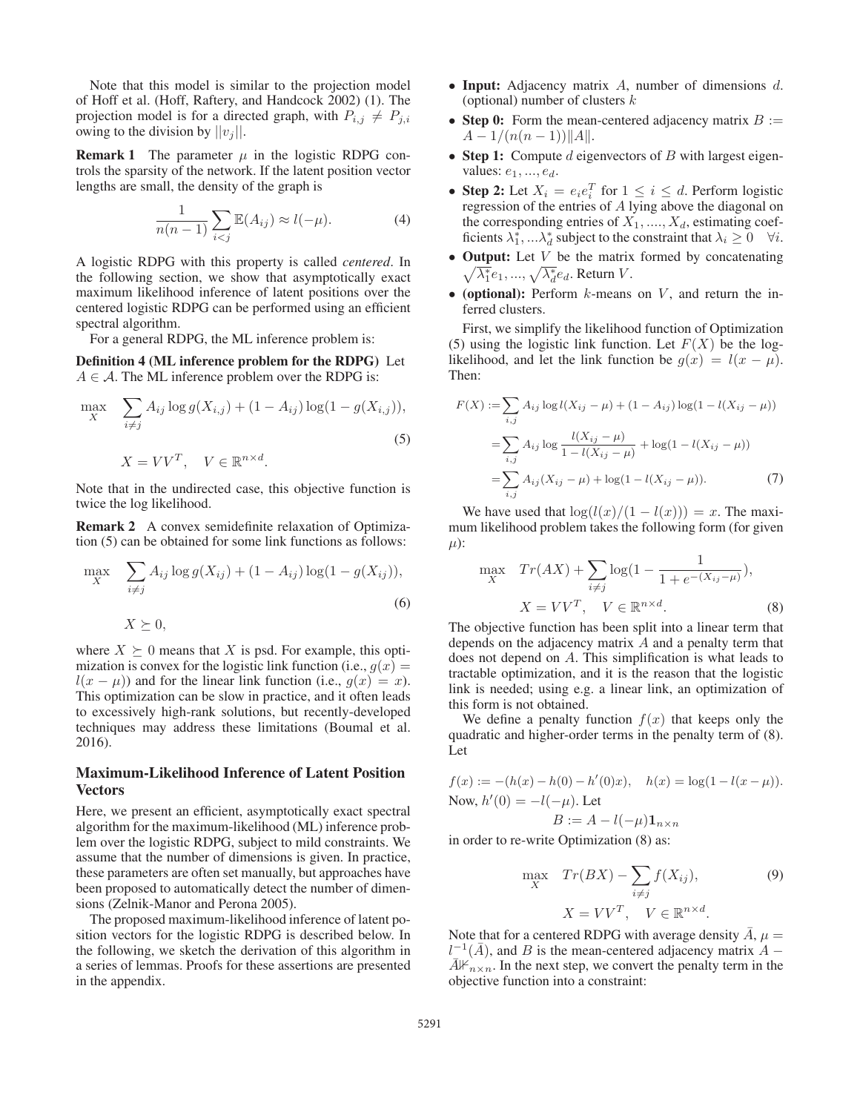Note that this model is similar to the projection model of Hoff et al. (Hoff, Raftery, and Handcock 2002) (1). The projection model is for a directed graph, with  $P_{i,j} \neq P_{j,i}$ owing to the division by  $||v_j||$ .

**Remark 1** The parameter  $\mu$  in the logistic RDPG controls the sparsity of the network. If the latent position vector lengths are small, the density of the graph is

$$
\frac{1}{n(n-1)}\sum_{i (4)
$$

A logistic RDPG with this property is called *centered*. In the following section, we show that asymptotically exact maximum likelihood inference of latent positions over the centered logistic RDPG can be performed using an efficient spectral algorithm.

For a general RDPG, the ML inference problem is:

Definition 4 (ML inference problem for the RDPG) Let  $A \in \mathcal{A}$ . The ML inference problem over the RDPG is:

$$
\max_{X} \quad \sum_{i \neq j} A_{ij} \log g(X_{i,j}) + (1 - A_{ij}) \log(1 - g(X_{i,j})),
$$
\n
$$
X = VV^T, \quad V \in \mathbb{R}^{n \times d}.
$$
\n(5)

Note that in the undirected case, this objective function is twice the log likelihood.

Remark 2 A convex semidefinite relaxation of Optimization (5) can be obtained for some link functions as follows:

$$
\max_{X} \quad \sum_{i \neq j} A_{ij} \log g(X_{ij}) + (1 - A_{ij}) \log(1 - g(X_{ij})),
$$
  
(6)  

$$
X \succeq 0,
$$

where  $X \succeq 0$  means that X is psd. For example, this optimization is convex for the logistic link function (i.e.,  $g(x) =$  $l(x - \mu)$  and for the linear link function (i.e.,  $q(x) = x$ ). This optimization can be slow in practice, and it often leads to excessively high-rank solutions, but recently-developed techniques may address these limitations (Boumal et al. 2016).

## Maximum-Likelihood Inference of Latent Position **Vectors**

Here, we present an efficient, asymptotically exact spectral algorithm for the maximum-likelihood (ML) inference problem over the logistic RDPG, subject to mild constraints. We assume that the number of dimensions is given. In practice, these parameters are often set manually, but approaches have been proposed to automatically detect the number of dimensions (Zelnik-Manor and Perona 2005).

The proposed maximum-likelihood inference of latent position vectors for the logistic RDPG is described below. In the following, we sketch the derivation of this algorithm in a series of lemmas. Proofs for these assertions are presented in the appendix.

- Input: Adjacency matrix  $A$ , number of dimensions  $d$ . (optional) number of clusters  $k$
- Step 0: Form the mean-centered adjacency matrix  $B :=$  $A - 1/(n(n-1))||A||.$
- Step 1: Compute d eigenvectors of B with largest eigenvalues:  $e_1, ..., e_d$ .
- Step 2: Let  $X_i = e_i e_i^T$  for  $1 \le i \le d$ . Perform logistic regression of the entries of A lying above the diagonal on regression of the entries of A lying above the diagonal on the corresponding entries of  $X_1, \ldots, X_d$ , estimating coefficients  $\lambda_1^*, \ldots \lambda_d^*$  subject to the constraint that  $\lambda_i \geq 0 \quad \forall i$ .
- Output: Let  $V$  be the matrix formed by concatenating  $\sqrt{\lambda_1^*}e_1, ..., \sqrt{\lambda_d^*}e_d$ . Return V.
- (optional): Perform  $k$ -means on  $V$ , and return the inferred clusters.

First, we simplify the likelihood function of Optimization (5) using the logistic link function. Let  $F(X)$  be the loglikelihood, and let the link function be  $g(x) = l(x - \mu)$ . Then:

$$
F(X) := \sum_{i,j} A_{ij} \log l(X_{ij} - \mu) + (1 - A_{ij}) \log (1 - l(X_{ij} - \mu))
$$
  
= 
$$
\sum_{i,j} A_{ij} \log \frac{l(X_{ij} - \mu)}{1 - l(X_{ij} - \mu)} + \log(1 - l(X_{ij} - \mu))
$$
  
= 
$$
\sum_{i,j} A_{ij} (X_{ij} - \mu) + \log(1 - l(X_{ij} - \mu)).
$$
 (7)

We have used that  $\log(l(x)/(1 - l(x))) = x$ . The maximum likelihood problem takes the following form (for given  $\mu$ ):

$$
\max_{X} \quad Tr(AX) + \sum_{i \neq j} \log(1 - \frac{1}{1 + e^{-(X_{ij} - \mu)}}),
$$
\n
$$
X = VV^{T}, \quad V \in \mathbb{R}^{n \times d}.
$$
\n(8)

\nThe objective function has been split into a linear term that

depends on the adjacency matrix A and a penalty term that does not depend on A. This simplification is what leads to tractable optimization, and it is the reason that the logistic link is needed; using e.g. a linear link, an optimization of this form is not obtained.

We define a penalty function  $f(x)$  that keeps only the quadratic and higher-order terms in the penalty term of (8). Let

$$
f(x) := -(h(x) - h(0) - h'(0)x), \quad h(x) = \log(1 - l(x - \mu)).
$$
  
Now,  $h'(0) = -l(-\mu)$ . Let  

$$
B := A - l(-\mu) \mathbf{1}_{n \times n}
$$

in order to re-write Optimization (8) as:

$$
\max_{X} \quad Tr(BX) - \sum_{i \neq j} f(X_{ij}), \tag{9}
$$
\n
$$
X = VV^{T}, \quad V \in \mathbb{R}^{n \times d}.
$$

Note that for a centered RDPG with average density  $\ddot{A}$ ,  $\mu =$  $l^{-1}(\vec{A})$  and  $\vec{B}$  is the mean-centered adiacency matrix  $\vec{A}$  –  $l^{-1}(\bar{A})$ , and B is the mean-centered adjacency matrix  $\bar{A} - \bar{A}\mathcal{H}_{\text{max}}$ . In the next step, we convert the penalty term in the  $\overline{A}$  $\overline{F}_{n\times n}$ . In the next step, we convert the penalty term in the objective function into a constraint: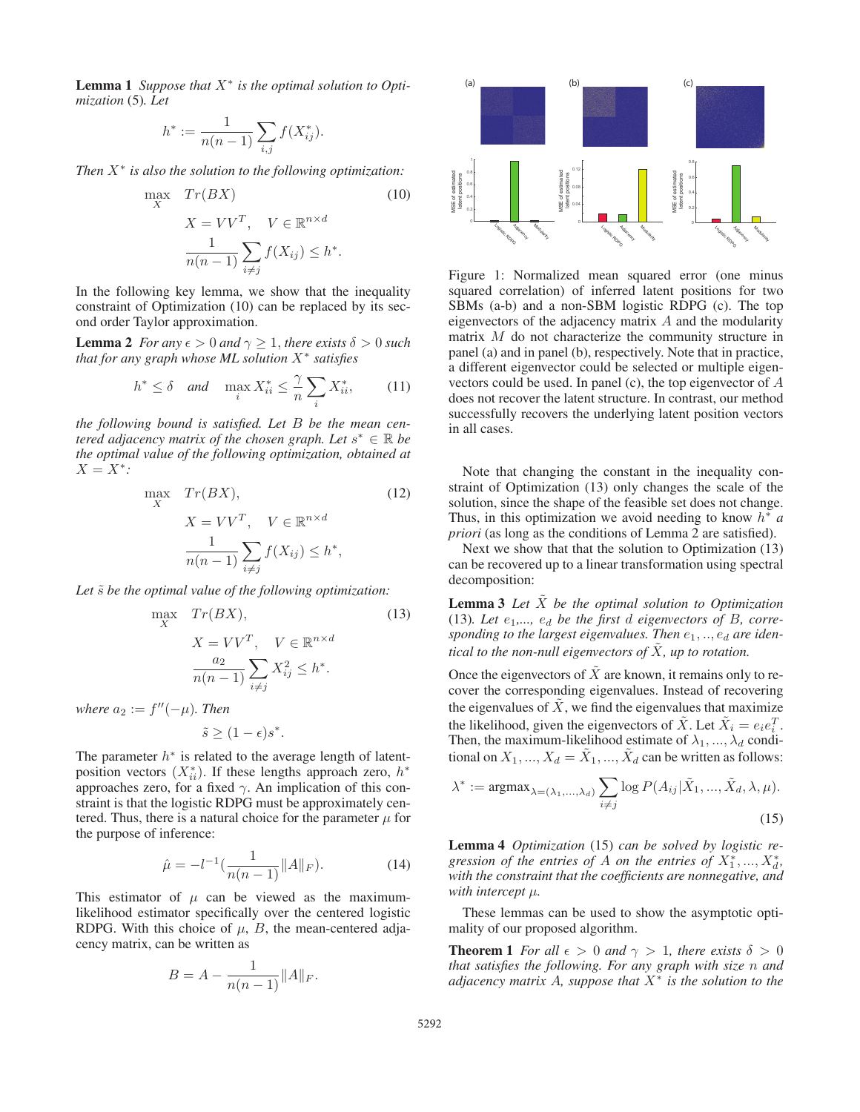Lemma 1 *Suppose that* X<sup>∗</sup> *is the optimal solution to Optimization* (5)*. Let*

$$
h^* := \frac{1}{n(n-1)} \sum_{i,j} f(X^*_{ij}).
$$

*Then* X<sup>∗</sup> *is also the solution to the following optimization:*

$$
\max_{X} \quad Tr(BX) \tag{10}
$$
\n
$$
X = VV^{T}, \quad V \in \mathbb{R}^{n \times d}
$$
\n
$$
\frac{1}{n(n-1)} \sum_{i \neq j} f(X_{ij}) \leq h^*.
$$

In the following key lemma, we show that the inequality constraint of Optimization (10) can be replaced by its second order Taylor approximation.

**Lemma 2** *For any*  $\epsilon > 0$  *and*  $\gamma \geq 1$ *, there exists*  $\delta > 0$  *such that for any graph whose ML solution* X<sup>∗</sup> *satisfies*

$$
h^* \le \delta \quad \text{and} \quad \max_i X^*_{ii} \le \frac{\gamma}{n} \sum_i X^*_{ii}, \tag{11}
$$

*the following bound is satisfied. Let* B *be the mean centered adjacency matrix of the chosen graph. Let*  $s^* \in \mathbb{R}$  *be the optimal value of the following optimization, obtained at*  $X = X^*$ :

$$
\max_{X} \quad Tr(BX),
$$
\n
$$
X = VV^T, \quad V \in \mathbb{R}^{n \times d}
$$
\n
$$
\frac{1}{n(n-1)} \sum_{i \neq j} f(X_{ij}) \leq h^*,
$$
\n(12)

Let  $\tilde{s}$  be the optimal value of the following optimization:

$$
\max_{X} \quad Tr(BX),
$$
\n
$$
X = VV^{T}, \quad V \in \mathbb{R}^{n \times d}
$$
\n
$$
\frac{a_2}{n(n-1)} \sum_{i \neq j} X_{ij}^2 \leq h^*.
$$
\n(13)

*where*  $a_2 := f''(-\mu)$ *. Then* 

$$
\tilde{s} \ge (1 - \epsilon)s^*.
$$

The parameter  $h^*$  is related to the average length of latentposition vectors  $(X_{ii}^*)$ . If these lengths approach zero,  $h^*$ <br>approaches zero, for a fixed  $\gamma$ . An implication of this conapproaches zero, for a fixed  $\gamma$ . An implication of this constraint is that the logistic RDPG must be approximately centered. Thus, there is a natural choice for the parameter  $\mu$  for the purpose of inference:

$$
\hat{\mu} = -l^{-1} \left( \frac{1}{n(n-1)} \|A\|_F \right). \tag{14}
$$

This estimator of  $\mu$  can be viewed as the maximumlikelihood estimator specifically over the centered logistic RDPG. With this choice of  $\mu$ , B, the mean-centered adjacency matrix, can be written as

$$
B = A - \frac{1}{n(n-1)} ||A||_F.
$$



Figure 1: Normalized mean squared error (one minus squared correlation) of inferred latent positions for two SBMs (a-b) and a non-SBM logistic RDPG (c). The top eigenvectors of the adjacency matrix  $A$  and the modularity matrix M do not characterize the community structure in panel (a) and in panel (b), respectively. Note that in practice, a different eigenvector could be selected or multiple eigenvectors could be used. In panel (c), the top eigenvector of A does not recover the latent structure. In contrast, our method successfully recovers the underlying latent position vectors in all cases.

Note that changing the constant in the inequality constraint of Optimization (13) only changes the scale of the solution, since the shape of the feasible set does not change. Thus, in this optimization we avoid needing to know h<sup>∗</sup> *a priori* (as long as the conditions of Lemma 2 are satisfied).

Next we show that that the solution to Optimization (13) can be recovered up to a linear transformation using spectral decomposition:

**Lemma 3** Let  $\tilde{X}$  be the optimal solution to Optimization (13). Let  $e_1$ ,  $e_d$  be the first d eigenvectors of B, corresponding to the largest eigenvalues. Then  $e_1, \ldots, e_d$  are iden*tical to the non-null eigenvectors of* X, *up to rotation.* 

Once the eigenvectors of  $\tilde{X}$  are known, it remains only to recover the corresponding eigenvalues. Instead of recovering the eigenvalues of  $\hat{X}$ , we find the eigenvalues that maximize the likelihood, given the eigenvectors of  $\tilde{X}$ . Let  $\tilde{X}_i = e_i e_i^T$ .<br>Then the maximum-likelihood estimate of  $\lambda_i$ ,  $\lambda_i$  condi-Then, the maximum-likelihood estimate of  $\lambda_1, ..., \lambda_d$  conditional on  $X_1, ..., X_d = \tilde{X}_1, ..., \tilde{X}_d$  can be written as follows:

$$
\lambda^* := \operatorname{argmax}_{\lambda = (\lambda_1, ..., \lambda_d)} \sum_{i \neq j} \log P(A_{ij} | \tilde{X}_1, ..., \tilde{X}_d, \lambda, \mu).
$$
\n(15)

Lemma 4 *Optimization* (15) *can be solved by logistic re*gression of the entries of  $A$  on the entries of  $X_1^*,...,X_d^*,$ *with the constraint that the coefficients are nonnegative, and with intercept* μ*.*

These lemmas can be used to show the asymptotic optimality of our proposed algorithm.

**Theorem 1** *For all*  $\epsilon > 0$  *and*  $\gamma > 1$ *, there exists*  $\delta > 0$ *that satisfies the following. For any graph with size* n *and adjacency matrix* A*, suppose that* X<sup>∗</sup> *is the solution to the*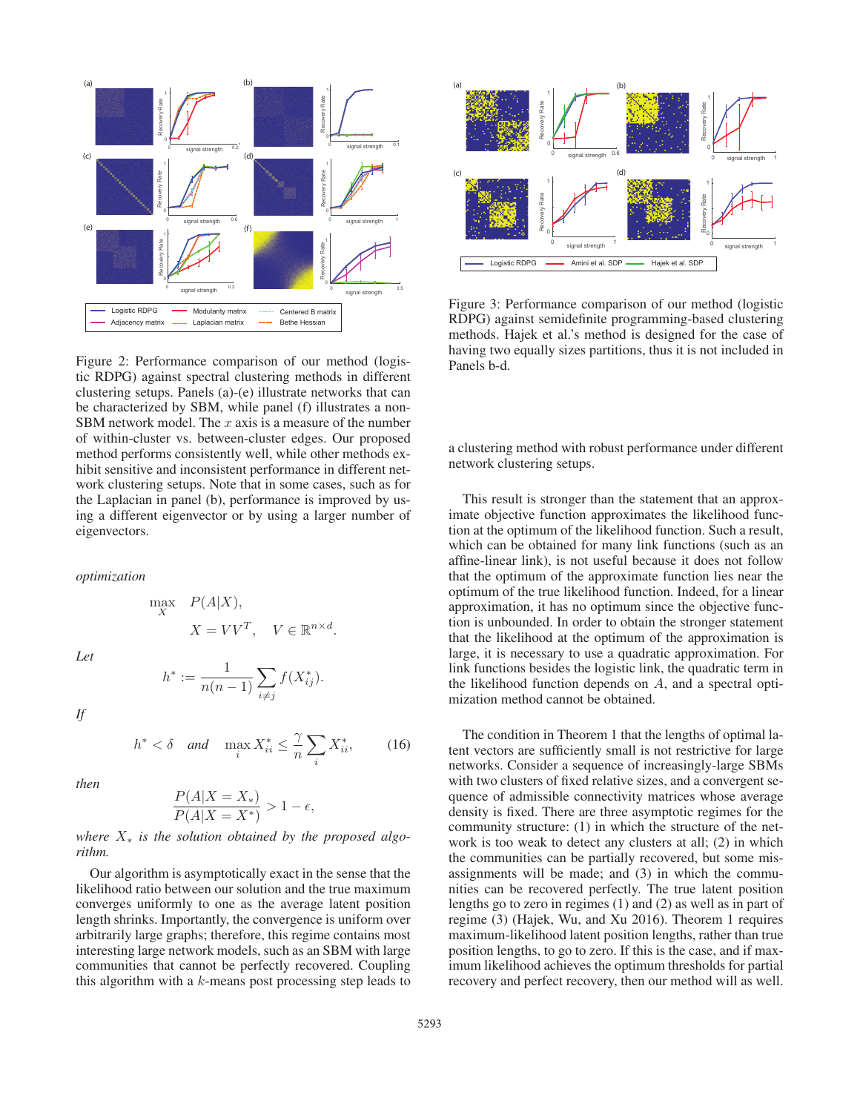

Figure 2: Performance comparison of our method (logistic RDPG) against spectral clustering methods in different clustering setups. Panels (a)-(e) illustrate networks that can be characterized by SBM, while panel (f) illustrates a non-SBM network model. The  $x$  axis is a measure of the number of within-cluster vs. between-cluster edges. Our proposed method performs consistently well, while other methods exhibit sensitive and inconsistent performance in different network clustering setups. Note that in some cases, such as for the Laplacian in panel (b), performance is improved by using a different eigenvector or by using a larger number of eigenvectors.

*optimization*

 $\max_{X} P(A|X),$ 

 $h^* := \frac{1}{n(n-1)}$ 

*Let*

$$
f_{\rm{max}}
$$

*If*

$$
h^* < \delta \quad \text{and} \quad \max_i X^*_{ii} \le \frac{\gamma}{n} \sum_i X^*_{ii}, \tag{16}
$$

 $X = VV^T$ ,  $V \in \mathbb{R}^{n \times d}$ .

 $\sum$  $\sum_{i \neq j} f(X^*_{ij}).$ 

*then*

$$
\frac{P(A|X=X_*)}{P(A|X=X^*)} > 1 - \epsilon,
$$

### *where* X<sup>∗</sup> *is the solution obtained by the proposed algorithm.*

Our algorithm is asymptotically exact in the sense that the likelihood ratio between our solution and the true maximum converges uniformly to one as the average latent position length shrinks. Importantly, the convergence is uniform over arbitrarily large graphs; therefore, this regime contains most interesting large network models, such as an SBM with large communities that cannot be perfectly recovered. Coupling this algorithm with a  $k$ -means post processing step leads to



Figure 3: Performance comparison of our method (logistic RDPG) against semidefinite programming-based clustering methods. Hajek et al.'s method is designed for the case of having two equally sizes partitions, thus it is not included in Panels b-d.

a clustering method with robust performance under different network clustering setups.

This result is stronger than the statement that an approximate objective function approximates the likelihood function at the optimum of the likelihood function. Such a result, which can be obtained for many link functions (such as an affine-linear link), is not useful because it does not follow that the optimum of the approximate function lies near the optimum of the true likelihood function. Indeed, for a linear approximation, it has no optimum since the objective function is unbounded. In order to obtain the stronger statement that the likelihood at the optimum of the approximation is large, it is necessary to use a quadratic approximation. For link functions besides the logistic link, the quadratic term in the likelihood function depends on A, and a spectral optimization method cannot be obtained.

The condition in Theorem 1 that the lengths of optimal latent vectors are sufficiently small is not restrictive for large networks. Consider a sequence of increasingly-large SBMs with two clusters of fixed relative sizes, and a convergent sequence of admissible connectivity matrices whose average density is fixed. There are three asymptotic regimes for the community structure: (1) in which the structure of the network is too weak to detect any clusters at all; (2) in which the communities can be partially recovered, but some misassignments will be made; and (3) in which the communities can be recovered perfectly. The true latent position lengths go to zero in regimes (1) and (2) as well as in part of regime (3) (Hajek, Wu, and Xu 2016). Theorem 1 requires maximum-likelihood latent position lengths, rather than true position lengths, to go to zero. If this is the case, and if maximum likelihood achieves the optimum thresholds for partial recovery and perfect recovery, then our method will as well.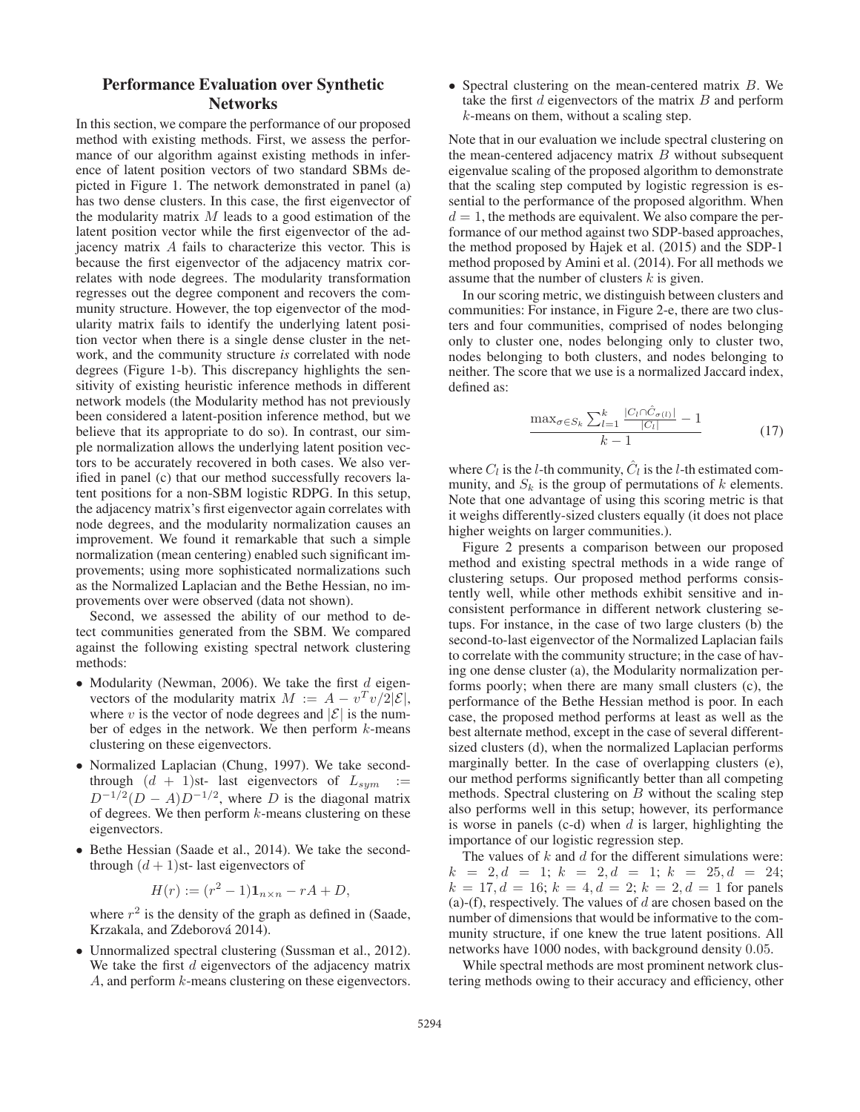# Performance Evaluation over Synthetic Networks

In this section, we compare the performance of our proposed method with existing methods. First, we assess the performance of our algorithm against existing methods in inference of latent position vectors of two standard SBMs depicted in Figure 1. The network demonstrated in panel (a) has two dense clusters. In this case, the first eigenvector of the modularity matrix  $M$  leads to a good estimation of the latent position vector while the first eigenvector of the adjacency matrix A fails to characterize this vector. This is because the first eigenvector of the adjacency matrix correlates with node degrees. The modularity transformation regresses out the degree component and recovers the community structure. However, the top eigenvector of the modularity matrix fails to identify the underlying latent position vector when there is a single dense cluster in the network, and the community structure *is* correlated with node degrees (Figure 1-b). This discrepancy highlights the sensitivity of existing heuristic inference methods in different network models (the Modularity method has not previously been considered a latent-position inference method, but we believe that its appropriate to do so). In contrast, our simple normalization allows the underlying latent position vectors to be accurately recovered in both cases. We also verified in panel (c) that our method successfully recovers latent positions for a non-SBM logistic RDPG. In this setup, the adjacency matrix's first eigenvector again correlates with node degrees, and the modularity normalization causes an improvement. We found it remarkable that such a simple normalization (mean centering) enabled such significant improvements; using more sophisticated normalizations such as the Normalized Laplacian and the Bethe Hessian, no improvements over were observed (data not shown).

Second, we assessed the ability of our method to detect communities generated from the SBM. We compared against the following existing spectral network clustering methods:

- Modularity (Newman, 2006). We take the first  $d$  eigenvectors of the modularity matrix  $M := A - v^T v/2|\mathcal{E}|$ , where v is the vector of node degrees and  $|\mathcal{E}|$  is the number of edges in the network. We then perform  $k$ -means clustering on these eigenvectors.
- Normalized Laplacian (Chung, 1997). We take secondthrough  $(d + 1)$ st- last eigenvectors of  $L_{sym}$  :=  $D^{-1/2}(D - A)D^{-1/2}$ , where D is the diagonal matrix of degrees. We then perform  $k$ -means clustering on these eigenvectors.
- Bethe Hessian (Saade et al., 2014). We take the secondthrough  $(d + 1)$ st- last eigenvectors of

$$
H(r) := (r^2 - 1)\mathbf{1}_{n \times n} - rA + D,
$$

where  $r^2$  is the density of the graph as defined in (Saade, Krzakala, and Zdeborová 2014).

• Unnormalized spectral clustering (Sussman et al., 2012). We take the first  $d$  eigenvectors of the adjacency matrix A, and perform k-means clustering on these eigenvectors. • Spectral clustering on the mean-centered matrix B. We take the first  $d$  eigenvectors of the matrix  $B$  and perform k-means on them, without a scaling step.

Note that in our evaluation we include spectral clustering on the mean-centered adjacency matrix  $B$  without subsequent eigenvalue scaling of the proposed algorithm to demonstrate that the scaling step computed by logistic regression is essential to the performance of the proposed algorithm. When  $d = 1$ , the methods are equivalent. We also compare the performance of our method against two SDP-based approaches, the method proposed by Hajek et al. (2015) and the SDP-1 method proposed by Amini et al. (2014). For all methods we assume that the number of clusters  $k$  is given.

In our scoring metric, we distinguish between clusters and communities: For instance, in Figure 2-e, there are two clusters and four communities, comprised of nodes belonging only to cluster one, nodes belonging only to cluster two, nodes belonging to both clusters, and nodes belonging to neither. The score that we use is a normalized Jaccard index, defined as:

$$
\frac{\max_{\sigma \in S_k} \sum_{l=1}^k \frac{|C_l \cap \hat{C}_{\sigma(l)}|}{|C_l|} - 1}{k - 1} \tag{17}
$$

where  $C_l$  is the l-th community,  $\tilde{C}_l$  is the l-th estimated community, and  $S_k$  is the group of permutations of k elements. Note that one advantage of using this scoring metric is that it weighs differently-sized clusters equally (it does not place higher weights on larger communities.).

Figure 2 presents a comparison between our proposed method and existing spectral methods in a wide range of clustering setups. Our proposed method performs consistently well, while other methods exhibit sensitive and inconsistent performance in different network clustering setups. For instance, in the case of two large clusters (b) the second-to-last eigenvector of the Normalized Laplacian fails to correlate with the community structure; in the case of having one dense cluster (a), the Modularity normalization performs poorly; when there are many small clusters (c), the performance of the Bethe Hessian method is poor. In each case, the proposed method performs at least as well as the best alternate method, except in the case of several differentsized clusters (d), when the normalized Laplacian performs marginally better. In the case of overlapping clusters (e), our method performs significantly better than all competing methods. Spectral clustering on  $B$  without the scaling step also performs well in this setup; however, its performance is worse in panels (c-d) when  $d$  is larger, highlighting the importance of our logistic regression step.

The values of  $k$  and  $d$  for the different simulations were:  $k = 2, d = 1; k = 2, d = 1; k = 25, d = 24;$  $k = 17, d = 16; k = 4, d = 2; k = 2, d = 1$  for panels (a)-(f), respectively. The values of  $d$  are chosen based on the number of dimensions that would be informative to the community structure, if one knew the true latent positions. All networks have 1000 nodes, with background density 0.05.

While spectral methods are most prominent network clustering methods owing to their accuracy and efficiency, other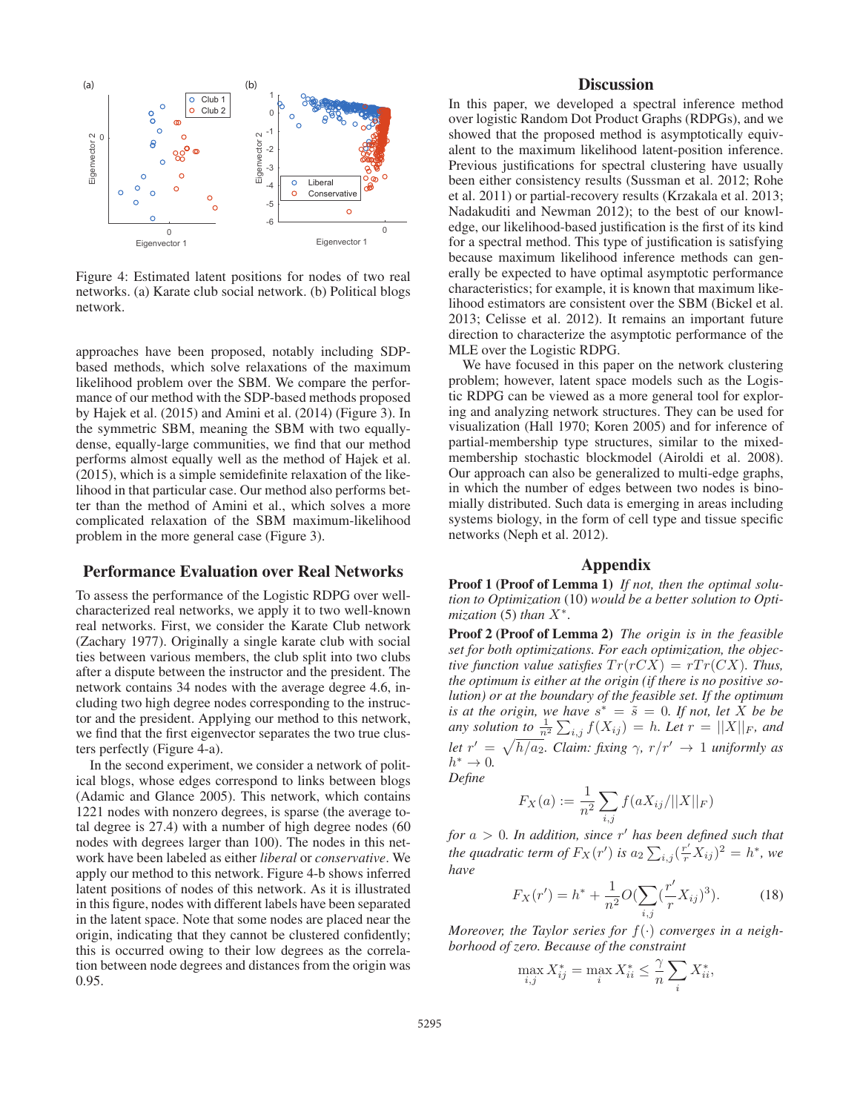

Figure 4: Estimated latent positions for nodes of two real networks. (a) Karate club social network. (b) Political blogs network.

approaches have been proposed, notably including SDPbased methods, which solve relaxations of the maximum likelihood problem over the SBM. We compare the performance of our method with the SDP-based methods proposed by Hajek et al. (2015) and Amini et al. (2014) (Figure 3). In the symmetric SBM, meaning the SBM with two equallydense, equally-large communities, we find that our method performs almost equally well as the method of Hajek et al. (2015), which is a simple semidefinite relaxation of the likelihood in that particular case. Our method also performs better than the method of Amini et al., which solves a more complicated relaxation of the SBM maximum-likelihood problem in the more general case (Figure 3).

## Performance Evaluation over Real Networks

To assess the performance of the Logistic RDPG over wellcharacterized real networks, we apply it to two well-known real networks. First, we consider the Karate Club network (Zachary 1977). Originally a single karate club with social ties between various members, the club split into two clubs after a dispute between the instructor and the president. The network contains 34 nodes with the average degree 4.6, including two high degree nodes corresponding to the instructor and the president. Applying our method to this network, we find that the first eigenvector separates the two true clusters perfectly (Figure 4-a).

In the second experiment, we consider a network of political blogs, whose edges correspond to links between blogs (Adamic and Glance 2005). This network, which contains 1221 nodes with nonzero degrees, is sparse (the average total degree is 27.4) with a number of high degree nodes (60 nodes with degrees larger than 100). The nodes in this network have been labeled as either *liberal* or *conservative*. We apply our method to this network. Figure 4-b shows inferred latent positions of nodes of this network. As it is illustrated in this figure, nodes with different labels have been separated in the latent space. Note that some nodes are placed near the origin, indicating that they cannot be clustered confidently; this is occurred owing to their low degrees as the correlation between node degrees and distances from the origin was 0.95.

## **Discussion**

In this paper, we developed a spectral inference method over logistic Random Dot Product Graphs (RDPGs), and we showed that the proposed method is asymptotically equivalent to the maximum likelihood latent-position inference. Previous justifications for spectral clustering have usually been either consistency results (Sussman et al. 2012; Rohe et al. 2011) or partial-recovery results (Krzakala et al. 2013; Nadakuditi and Newman 2012); to the best of our knowledge, our likelihood-based justification is the first of its kind for a spectral method. This type of justification is satisfying because maximum likelihood inference methods can generally be expected to have optimal asymptotic performance characteristics; for example, it is known that maximum likelihood estimators are consistent over the SBM (Bickel et al. 2013; Celisse et al. 2012). It remains an important future direction to characterize the asymptotic performance of the MLE over the Logistic RDPG.

We have focused in this paper on the network clustering problem; however, latent space models such as the Logistic RDPG can be viewed as a more general tool for exploring and analyzing network structures. They can be used for visualization (Hall 1970; Koren 2005) and for inference of partial-membership type structures, similar to the mixedmembership stochastic blockmodel (Airoldi et al. 2008). Our approach can also be generalized to multi-edge graphs, in which the number of edges between two nodes is binomially distributed. Such data is emerging in areas including systems biology, in the form of cell type and tissue specific networks (Neph et al. 2012).

### Appendix

Proof 1 (Proof of Lemma 1) *If not, then the optimal solution to Optimization* (10) *would be a better solution to Optimization* (5) *than*  $X^*$ .

Proof 2 (Proof of Lemma 2) *The origin is in the feasible set for both optimizations. For each optimization, the objective function value satisfies*  $Tr(rCX) = rTr(CX)$ *. Thus, the optimum is either at the origin (if there is no positive solution) or at the boundary of the feasible set. If the optimum is at the origin, we have*  $s^* = \tilde{s} = 0$ . If not, let X be be any solution to  $\frac{1}{n^2} \sum_{i,j} f(X_{ij}) = h$ . Let  $r = ||X||_F$ , and *let*  $r' = \sqrt{h/a_2}$ *. Claim: fixing*  $\gamma$ *,*  $r/r' \rightarrow 1$  *<i>uniformly as*  $h^* \to 0$ . *Define*

$$
F_X(a) := \frac{1}{n^2} \sum_{i,j} f(aX_{ij}/||X||_F)
$$

*for*  $a > 0$ *. In addition, since*  $r'$  *has been defined such that the quadratic term of*  $F_X(r')$  *is*  $a_2 \sum_{i,j} (\frac{r'}{r} X_{ij})^2 = h^*$ *, we*<br>have *have*

$$
F_X(r') = h^* + \frac{1}{n^2} O(\sum_{i,j} (\frac{r'}{r} X_{ij})^3).
$$
 (18)

*Moreover, the Taylor series for* <sup>f</sup>(·) *converges in a neighborhood of zero. Because of the constraint*

$$
\max_{i,j} X^*_{ij} = \max_i X^*_{ii} \le \frac{\gamma}{n} \sum_i X^*_{ii},
$$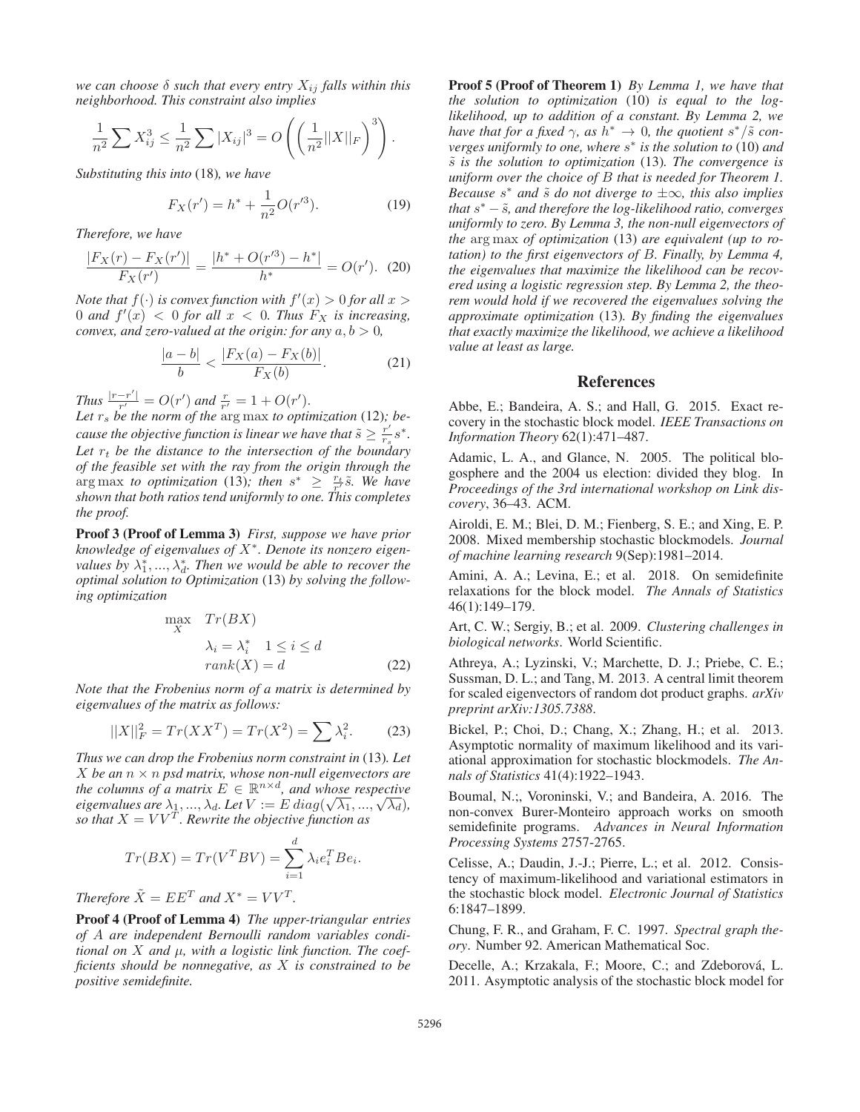*we can choose*  $\delta$  *such that every entry*  $X_{ij}$  *falls within this neighborhood. This constraint also implies*

$$
\frac{1}{n^2} \sum X_{ij}^3 \le \frac{1}{n^2} \sum |X_{ij}|^3 = O\left(\left(\frac{1}{n^2} ||X||_F\right)^3\right).
$$

*Substituting this into* (18)*, we have*

$$
F_X(r') = h^* + \frac{1}{n^2}O(r'^3).
$$
 (19)

*Therefore, we have*

$$
\frac{|F_X(r) - F_X(r')|}{F_X(r')} = \frac{|h^* + O(r'^3) - h^*|}{h^*} = O(r'). \tag{20}
$$

*Note that*  $f(\cdot)$  *is convex function with*  $f'(x) > 0$  *for all*  $x > 0$  *and*  $f'(x) < 0$  *for all*  $x < 0$  *Thus*  $F_Y$  *is increasing* 0 and  $f'(x) < 0$  for all  $x < 0$ . Thus  $F_X$  is increasing,<br>convex and zero-valued at the origin: for any  $a, b > 0$ *convex, and zero-valued at the origin: for any*  $a, b > 0$ *,* 

$$
\frac{|a-b|}{b} < \frac{|F_X(a) - F_X(b)|}{F_X(b)}.\tag{21}
$$

*Thus*  $\frac{|r-r'|}{r'} = O(r')$  and  $\frac{r}{r'} = 1 + O(r').$ <br>Let  $r_s$  be the norm of the argumax to optimal.

Let  $r_s$  be the norm of the  $\arg \max$  to optimization (12)*;* be-<br>cause the objective function is linear we have that  $\tilde{e} > r' e^*$ *cause the objective function is linear we have that*  $\tilde{s} \geq \frac{r'}{rs} s^*$ .<br>Let  $r_1$ , be the distance to the intersection of the boundary Let  $r_t$  be the distance to the intersection of the boundary *of the feasible set with the ray from the origin through the* arg max *to optimization* (13); then  $s^* \geq \frac{r_t}{r} \tilde{s}$ . We have<br>shown that both ratios tend uniformly to one This completes *shown that both ratios tend uniformly to one. This completes the proof.*

Proof 3 (Proof of Lemma 3) *First, suppose we have prior knowledge of eigenvalues of* X∗*. Denote its nonzero eigenvalues by*  $\lambda_1^*, ..., \lambda_d^*$ . Then we would be able to recover the *optimal solution to Optimization* (13) *by solving the following optimization*

$$
\max_{X} \quad Tr(BX) \n\lambda_i = \lambda_i^* \quad 1 \le i \le d \nrank(X) = d
$$
\n(22)

*Note that the Frobenius norm of a matrix is determined by eigenvalues of the matrix as follows:*

$$
||X||_F^2 = Tr(XX^T) = Tr(X^2) = \sum \lambda_i^2.
$$
 (23)

*Thus we can drop the Frobenius norm constraint in* (13)*. Let*  $X$  *be an*  $n \times n$  *psd matrix, whose non-null eigenvectors are the columns of a matrix*  $E \in \mathbb{R}^{n \times d}$ *, and whose respective eigenvalues are*  $\lambda_1, ..., \lambda_d$ . Let  $V := E \, diag(\sqrt{\lambda_1}, ..., \sqrt{\lambda_d})$ ,<br>so that  $X = VV^T$  Rewrite the objective function as *so that*  $X = V V^{\hat{T}}$ *. Rewrite the objective function as* 

$$
Tr(BX) = Tr(V^T B V) = \sum_{i=1}^d \lambda_i e_i^T B e_i.
$$

*Therefore*  $\tilde{X} = E E^{T}$  *and*  $X^* = V V^{T}$ *.* 

Proof 4 (Proof of Lemma 4) *The upper-triangular entries of* A *are independent Bernoulli random variables conditional on* X *and* μ*, with a logistic link function. The coefficients should be nonnegative, as* X *is constrained to be positive semidefinite.*

Proof 5 (Proof of Theorem 1) *By Lemma 1, we have that the solution to optimization* (10) *is equal to the loglikelihood, up to addition of a constant. By Lemma 2, we have that for a fixed*  $\gamma$ *, as h<sup>\*</sup>*  $\rightarrow$  *0, the quotient s<sup>\*</sup>/* $\tilde{s}$  *converges uniformly to one, where* s<sup>∗</sup> *is the solution to* (10) *and* <sup>s</sup>˜ *is the solution to optimization* (13)*. The convergence is uniform over the choice of* B *that is needed for Theorem 1. Because*  $s^*$  *and*  $\tilde{s}$  *do not diverge to*  $\pm \infty$ *, this also implies that*  $s<sup>∗</sup> - \tilde{s}$ *, and therefore the log-likelihood ratio, converges uniformly to zero. By Lemma 3, the non-null eigenvectors of the* arg max *of optimization* (13) *are equivalent (up to rotation) to the first eigenvectors of* B*. Finally, by Lemma 4, the eigenvalues that maximize the likelihood can be recovered using a logistic regression step. By Lemma 2, the theorem would hold if we recovered the eigenvalues solving the approximate optimization* (13)*. By finding the eigenvalues that exactly maximize the likelihood, we achieve a likelihood value at least as large.*

#### References

Abbe, E.; Bandeira, A. S.; and Hall, G. 2015. Exact recovery in the stochastic block model. *IEEE Transactions on Information Theory* 62(1):471–487.

Adamic, L. A., and Glance, N. 2005. The political blogosphere and the 2004 us election: divided they blog. In *Proceedings of the 3rd international workshop on Link discovery*, 36–43. ACM.

Airoldi, E. M.; Blei, D. M.; Fienberg, S. E.; and Xing, E. P. 2008. Mixed membership stochastic blockmodels. *Journal of machine learning research* 9(Sep):1981–2014.

Amini, A. A.; Levina, E.; et al. 2018. On semidefinite relaxations for the block model. *The Annals of Statistics* 46(1):149–179.

Art, C. W.; Sergiy, B.; et al. 2009. *Clustering challenges in biological networks*. World Scientific.

Athreya, A.; Lyzinski, V.; Marchette, D. J.; Priebe, C. E.; Sussman, D. L.; and Tang, M. 2013. A central limit theorem for scaled eigenvectors of random dot product graphs. *arXiv preprint arXiv:1305.7388*.

Bickel, P.; Choi, D.; Chang, X.; Zhang, H.; et al. 2013. Asymptotic normality of maximum likelihood and its variational approximation for stochastic blockmodels. *The Annals of Statistics* 41(4):1922–1943.

Boumal, N.;, Voroninski, V.; and Bandeira, A. 2016. The non-convex Burer-Monteiro approach works on smooth semidefinite programs. *Advances in Neural Information Processing Systems* 2757-2765.

Celisse, A.; Daudin, J.-J.; Pierre, L.; et al. 2012. Consistency of maximum-likelihood and variational estimators in the stochastic block model. *Electronic Journal of Statistics* 6:1847–1899.

Chung, F. R., and Graham, F. C. 1997. *Spectral graph theory*. Number 92. American Mathematical Soc.

Decelle, A.; Krzakala, F.; Moore, C.; and Zdeborová, L. 2011. Asymptotic analysis of the stochastic block model for